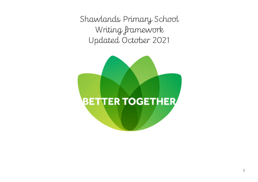Shawlands Primary School Writing framework Updated October 2021

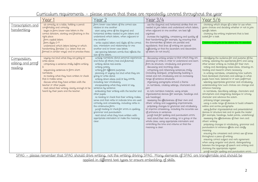# Curriculum requirements – please ensure that these are repeatedly covered throughout the year

| form lower-case letters of the correct size<br>choosing which shape of a letter to use when<br>sit correctly at a table, holding a pencil<br>use the diagonal and horizontal strokes that are<br><u>Transcription and</u><br>comfortably and correctly<br>relative to one another<br>needed to join letters and understand which letters,<br>given choices and deciding whether or not to join<br>handwriting<br>begin to form lower-case letters in the<br>start using some of the diagonal and<br>when adjacent to one another, are best left<br>specific letters<br>correct direction, starting and finishing in the<br>horizontal strokes needed to join letters and<br>unjoined<br>choosing the writing implement that is best<br>understand which letters, when adjacent to<br>suited for a task.<br>right place<br>increase the legibility, consistency and quality of<br>one another -<br>their handwriting [for example, by ensuring that<br>form capital letters<br>form digits 0-9<br>write capital letters and digits of the correct<br>the downstrokes of letters are parallel and<br>Children must join to be above the Y6 standard<br>equidistant; that lines of writing are spaced<br>understand which letters belong to which<br>size, orientation and relationship to one<br>handwriting 'families' (i.e. letters that are<br>another and to lower case letters<br>sufficiently so that the ascenders and descenders<br>formed in similar ways) and to practise these.<br>of letters do not touch].<br>use spacing between words that reflects the<br>size of the letters.<br>writing narratives about personal experiences<br>saying out loud what they are going to<br>discussing writing similar to that which they are<br>identifying the audience for and purpose of the<br>Composition,<br>write about<br>and those of others (real and fictional)<br>planning to write in order to understand and learn<br>writing, selecting the appropriate form and using<br>editing and proof<br>from its structure, vocabulary and grammar<br>other similar writing as models for their own<br>composing a sentence orally before writing<br>writing about real events<br>writing poetry<br>discussing and recording ideas<br>noting and developing initial ideas, drawing on<br>it<br>reading<br>composing and rehearsing sentences orally<br>reading and research where necessary<br>sequencing sentences to form short<br>writing for different purposes<br>planning or saying out loud what they are<br>(including dialogue), progressively building a<br>in writing narratives, considering how authors<br>narratives<br>varied and rich vocabulary and an increasing<br>have developed characters and settings in what<br>re-reading what they have written to check<br>going to write about<br>writing down ideas and/or key words,<br>range of sentence structures<br>pupils have read, listened to or seen performed<br>that it makes sense<br>including new vocabulary<br>discuss what they have written with the<br>organising paragraphs around a theme<br>selecting appropriate grammar and vocabulary,<br>teacher or other pupils<br>encapsulating what they want to say,<br>in narratives, creating settings, characters and<br>understanding how such choices can change and<br>read aloud their writing clearly enough to be<br>sentence by sentence<br>enhance meaning<br>plot<br>heard by their peers and the teacher.<br>evaluating their writing with the teacher and<br>in non-narrative material, using simple<br>in narratives, describing settings, characters and<br>other pupils<br>organisational devices [for example, headings and<br>atmosphere and integrating dialogue to convey<br>re-reading to check that their writing makes<br>sub-headings]<br>character and advance the action<br>sense and that verbs to indicate time are used<br>assessing the effectiveness of their own and<br>précising longer passages<br>others' writing and suggesting improvements<br>correctly and consistently, including verbs in<br>using a wide range of devices to build cohesion<br>the continuous form<br>proposing changes to grammar and vocabulary<br>within and across paragraphs<br>proof-reading to check for errors in spelling,<br>to improve consistency, including the accurate use<br>using further organisational and presentational<br>grammar and punctuation<br>of pronouns in sentences<br>devices to structure text and to guide the reader<br>read aloud what they have written with<br>proof-read for spelling and punctuation errors<br>[for example, headings, bullet points, underlining]<br>read aloud their own writing, to a group or the<br>assessing the effectiveness of their own and<br>appropriate intonation to make the meaning.<br>others' writing<br>whole class, using appropriate intonation and<br>clear.<br>controlling the tone and volume so that the<br>proposing changes to vocabulary, grammar and<br>punctuation to enhance effects and clarify<br>meaning is clear.<br>meaning<br>ensuring the consistent and correct use of tense<br>throughout a piece of writing<br>ensuring correct subject and verb agreement<br>when using singular and plural, distinguishing<br>between the language of speech and writing and<br>choosing the appropriate register | Year 1 | <u>Year 2</u> | <u>Year</u> 3/4 | <u> Year 5/6</u>                               |
|---------------------------------------------------------------------------------------------------------------------------------------------------------------------------------------------------------------------------------------------------------------------------------------------------------------------------------------------------------------------------------------------------------------------------------------------------------------------------------------------------------------------------------------------------------------------------------------------------------------------------------------------------------------------------------------------------------------------------------------------------------------------------------------------------------------------------------------------------------------------------------------------------------------------------------------------------------------------------------------------------------------------------------------------------------------------------------------------------------------------------------------------------------------------------------------------------------------------------------------------------------------------------------------------------------------------------------------------------------------------------------------------------------------------------------------------------------------------------------------------------------------------------------------------------------------------------------------------------------------------------------------------------------------------------------------------------------------------------------------------------------------------------------------------------------------------------------------------------------------------------------------------------------------------------------------------------------------------------------------------------------------------------------------------------------------------------------------------------------------------------------------------------------------------------------------------------------------------------------------------------------------------------------------------------------------------------------------------------------------------------------------------------------------------------------------------------------------------------------------------------------------------------------------------------------------------------------------------------------------------------------------------------------------------------------------------------------------------------------------------------------------------------------------------------------------------------------------------------------------------------------------------------------------------------------------------------------------------------------------------------------------------------------------------------------------------------------------------------------------------------------------------------------------------------------------------------------------------------------------------------------------------------------------------------------------------------------------------------------------------------------------------------------------------------------------------------------------------------------------------------------------------------------------------------------------------------------------------------------------------------------------------------------------------------------------------------------------------------------------------------------------------------------------------------------------------------------------------------------------------------------------------------------------------------------------------------------------------------------------------------------------------------------------------------------------------------------------------------------------------------------------------------------------------------------------------------------------------------------------------------------------------------------------------------------------------------------------------------------------------------------------------------------------------------------------------------------------------------------------------------------------------------------------------------------------------------------------------------------------------------------------------------------------------------------------------------------------------------------------------------------------------------------------------------------------------------------------------------------------------------------------------------------------------------------------------------------------------------------------------------------------------------------------------------------------------------------------------------------------------------------------------------------------------------------------------------------------------------------------------------------------------------------------------------------------------------------------------------|--------|---------------|-----------------|------------------------------------------------|
|                                                                                                                                                                                                                                                                                                                                                                                                                                                                                                                                                                                                                                                                                                                                                                                                                                                                                                                                                                                                                                                                                                                                                                                                                                                                                                                                                                                                                                                                                                                                                                                                                                                                                                                                                                                                                                                                                                                                                                                                                                                                                                                                                                                                                                                                                                                                                                                                                                                                                                                                                                                                                                                                                                                                                                                                                                                                                                                                                                                                                                                                                                                                                                                                                                                                                                                                                                                                                                                                                                                                                                                                                                                                                                                                                                                                                                                                                                                                                                                                                                                                                                                                                                                                                                                                                                                                                                                                                                                                                                                                                                                                                                                                                                                                                                                                                                                                                                                                                                                                                                                                                                                                                                                                                                                                                                                                                   |        |               |                 |                                                |
|                                                                                                                                                                                                                                                                                                                                                                                                                                                                                                                                                                                                                                                                                                                                                                                                                                                                                                                                                                                                                                                                                                                                                                                                                                                                                                                                                                                                                                                                                                                                                                                                                                                                                                                                                                                                                                                                                                                                                                                                                                                                                                                                                                                                                                                                                                                                                                                                                                                                                                                                                                                                                                                                                                                                                                                                                                                                                                                                                                                                                                                                                                                                                                                                                                                                                                                                                                                                                                                                                                                                                                                                                                                                                                                                                                                                                                                                                                                                                                                                                                                                                                                                                                                                                                                                                                                                                                                                                                                                                                                                                                                                                                                                                                                                                                                                                                                                                                                                                                                                                                                                                                                                                                                                                                                                                                                                                   |        |               |                 | proof-read for spelling and punctuation errors |

SPAG – please remember that SPAG should drive writing, not the writing driving SPAG. Many elements of SPAG are transferrable and should be

applied in different text types to ensure embedding of skills.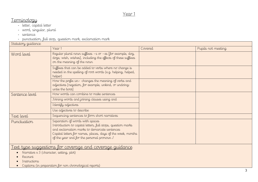# **Terminology**

- letter, capital letter
- word, singular, plural
- sentence
- punctuation, full stop, question mark, exclamation mark

| Statutory guidance |                                                                                                                                                                                                                                                               |         |                    |
|--------------------|---------------------------------------------------------------------------------------------------------------------------------------------------------------------------------------------------------------------------------------------------------------|---------|--------------------|
|                    | Year 1                                                                                                                                                                                                                                                        | Covered | Pupils not meeting |
| Word level         | Regular plural noun suffixes -s or -es [for example, dog,<br>dogs; wish, wishes], including the effects of these suffixes<br>on the meaning of the noun                                                                                                       |         |                    |
|                    | Suffixes that can be added to verbs where no change is<br>needed in the spelling of root words (e.g. helping, helped,<br>helper)                                                                                                                              |         |                    |
|                    | How the prefix un- changes the meaning of verbs and<br>adjectives [negation, for example, unkind, or undoing:<br>untie the boat]                                                                                                                              |         |                    |
| Sentence level     | How words can combine to make sentences                                                                                                                                                                                                                       |         |                    |
|                    | Joining words and joining clauses using and                                                                                                                                                                                                                   |         |                    |
|                    | I dentify adjectives                                                                                                                                                                                                                                          |         |                    |
|                    | Use adjectives to describe                                                                                                                                                                                                                                    |         |                    |
| Text level         | Sequencing sentences to form short narratives                                                                                                                                                                                                                 |         |                    |
| Punctuation        | Separation of words with spaces<br>Introduction to capital letters, full stops, question marks<br>and exclamation marks to demarcate sentences<br>Capital letters for names, places, days of the week, months<br>of the year and for the personal pronoun $I$ |         |                    |
|                    |                                                                                                                                                                                                                                                               |         |                    |

Text type suggestions for coverage and coverage guidance

- Narrative x 3 (character, setting, plot)
- Recount
- Instructions

Captions (in preparation for non chronological reports)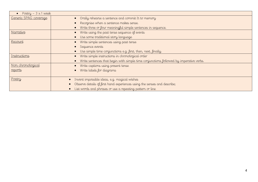| Poetry $-3 \times 1$ week |                                                                                        |
|---------------------------|----------------------------------------------------------------------------------------|
| Generic SPAG coverage     | Orally rehearse a sentence and commit It to memory                                     |
|                           | Recognise when a sentence makes sense.                                                 |
|                           | Write three or four meaningful simple sentences in sequence.                           |
| Narrative                 | Write using the past tense sequence of events                                          |
|                           | Use some traditional story language                                                    |
| Recount                   | Write simple sentences using past tense                                                |
|                           | Sequence events                                                                        |
|                           | Use simple time conjunctions e.g. first, then, next, finally.                          |
| Instructions              | Write simple instructions in chronological order                                       |
|                           | Write sentences that begin with simple time conjunctions followed by imperative verbs. |
| <u>Non</u> chronological  | Write captions using present tense                                                     |
| reports                   | Write labels for diagrams                                                              |
|                           |                                                                                        |
| Poetry                    | Invent impossible ideas, e.g. magical wishes                                           |
|                           | Observe details of first hand experiences using the senses and describe;               |
|                           | List words and phrases or use a repeating pattern or line                              |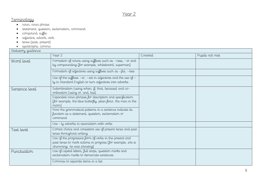# **Terminology**

- noun, noun phrase
- statement, question, exclamation, command
- compound, suffix
- adjective, adverb, verb
- tense (past, present)
- apostrophe, comma

#### Statutory guidance

| Summiy gummac  |                                                                                                                                                                                                                                                                                                                                                                                                       |         |                |
|----------------|-------------------------------------------------------------------------------------------------------------------------------------------------------------------------------------------------------------------------------------------------------------------------------------------------------------------------------------------------------------------------------------------------------|---------|----------------|
|                | Year 2                                                                                                                                                                                                                                                                                                                                                                                                | Covered | Pupils not met |
| Word level     | Formation of nouns using suffixes such as -ness, -er and<br>by compounding [for example, whiteboard, superman]                                                                                                                                                                                                                                                                                        |         |                |
|                | Formation of adjectives using suffixes such as $-\text{ful}, -\text{less}$                                                                                                                                                                                                                                                                                                                            |         |                |
|                | Use of the suffixes $-er$ , $-est$ in adjectives and the use of $-$<br>ly in Standard English to turn adjectives into adverbs                                                                                                                                                                                                                                                                         |         |                |
| Sentence level | Subordination (using when, if, that, because) and co-<br>ordination (using or, and, but)<br>Expanded noun phrases for description and specification<br>[for example, the blue butterfly, plain flour, the man in the<br>moon<br>How the grammatical patterns in a sentence indicate its<br>function as a statement, question, exclamation or<br>command<br>Use - ly adverbs in association with verbs |         |                |
| Text level     | Correct choice and consistent use of present tense and past<br>tense throughout writing<br>Use of the progressive form of verbs in the present and<br>past tense to mark actions in progress [for example, she is<br>drumming, he was shouting                                                                                                                                                        |         |                |
| Punctuation    | Use of capital letters, full stops, question marks and<br>exclamation marks to demarcate sentences<br>Commas to separate items in a list                                                                                                                                                                                                                                                              |         |                |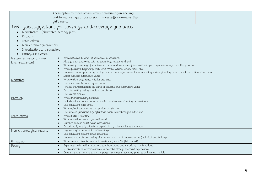|                                          | Apostrophes to mark where letters are missing in spelling<br>and to mark singular possession in nouns [for example, the<br>girl's name] |  |  |
|------------------------------------------|-----------------------------------------------------------------------------------------------------------------------------------------|--|--|
|                                          | ext type suggestions for coverage and coverage guidance                                                                                 |  |  |
|                                          |                                                                                                                                         |  |  |
| Narrative x 3 (character, setting, plot) |                                                                                                                                         |  |  |
| Recount                                  |                                                                                                                                         |  |  |
| Instructions                             |                                                                                                                                         |  |  |
| Non chronological report                 |                                                                                                                                         |  |  |
| Introduction to persuasion               |                                                                                                                                         |  |  |
| Poetry 3 x 1 week                        |                                                                                                                                         |  |  |
| Generic sentence and text                | Write between 12 and 20 sentences in sequence.<br>$\bullet$                                                                             |  |  |
| level entitlement                        | Always plan and write with a beginning, middle and end.<br>$\bullet$                                                                    |  |  |
|                                          | Write using a variety of simple and compound sentences, joined with simple conjunctions e.g. and, then, but, or                         |  |  |
|                                          | Write questions beginning with who, what, where, when, how, has<br>$\bullet$                                                            |  |  |
|                                          | Improve a noun phrase by adding one or more adjective and / or replacing / strengthening the noun with an alternative noun<br>$\bullet$ |  |  |
|                                          | Select and use alternative verbs<br>$\bullet$<br>Write with a beginning, middle and end.                                                |  |  |
| Narrative                                | $\bullet$<br>Use some simple time conjunctions.<br>$\bullet$                                                                            |  |  |
|                                          | Hint at characterisation by using ly adverbs and alternative verbs.<br>$\bullet$                                                        |  |  |
|                                          | Describe setting using simple noun phrases.<br>$\bullet$                                                                                |  |  |
|                                          | Use simple similes.<br>$\bullet$                                                                                                        |  |  |
| Recount                                  | Write an introductory sentence<br>$\bullet$                                                                                             |  |  |
|                                          | Include where, when, what and who detail when planning and writing<br>$\bullet$                                                         |  |  |
|                                          | Use consistent past tense                                                                                                               |  |  |
|                                          | Write a final sentence as an opinion or reflection<br>$\bullet$                                                                         |  |  |
|                                          | Use time conjunctions e.g. after that, soon, later throughout the text.<br>$\bullet$<br>Write a title (How to)<br>$\bullet$             |  |  |
| Instructions                             | Write a section headed you will need.<br>$\bullet$                                                                                      |  |  |
|                                          | Number and/or bullet point instructions                                                                                                 |  |  |
|                                          | Occasionally use ly adverb to explain how, where it helps the reader<br>$\bullet$                                                       |  |  |
| Non chronological reports                | Organise information into subheadings<br>$\bullet$                                                                                      |  |  |
|                                          | Use consistent present tense sentences<br>$\bullet$                                                                                     |  |  |
|                                          | Improve noun phrases using alternative nouns and improve verbs (technical vocabulary)<br>$\bullet$                                      |  |  |
| Persuasion                               | Write simple catchphrases and questions (poster/leaflet context)<br>$\bullet$                                                           |  |  |
| Poetry                                   | Experiment with alliteration to create humorous and surprising combinations.<br>$\bullet$                                               |  |  |
|                                          | Make adventurous word choices to describe closely observed experiences.                                                                 |  |  |
|                                          | Create a pattern or shape on the page; use simple repeating phrases or lines as models                                                  |  |  |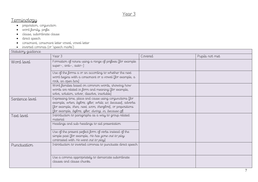# **Terminology**

- preposition, conjunction
- word family, prefix
- clause, subordinate clause
- direct speech
- consonant, consonant letter vowel, vowel letter
- inverted commas (or 'speech marks')

#### $S$ tatutory quidance

| Summiy gummac  |                                                                                                                                                                                                                                                                           |         |                |
|----------------|---------------------------------------------------------------------------------------------------------------------------------------------------------------------------------------------------------------------------------------------------------------------------|---------|----------------|
|                | Year 3                                                                                                                                                                                                                                                                    | Covered | Pupils not met |
| Word level     | Formation of nouns using a range of prefixes [for example<br>super-, anti-, auto-]                                                                                                                                                                                        |         |                |
|                | Use of the forms a or an according to whether the next<br>word begins with a consonant or a vowel [for example, a<br>rock, an open box]                                                                                                                                   |         |                |
|                | Word families based on common words, showing how<br>words are related in form and meaning [for example,<br>solve, solution, solver, dissolve, insoluble]                                                                                                                  |         |                |
| Sentence level | Expressing time, place and cause using conjunctions [for<br>example, when, before, after, while, so, because], adverbs<br>[for example, then, next, soon, therefore], or prepositions<br>[for example, before, after, during, in, because of                              |         |                |
| Text level     | Introduction to paragraphs as a way to group related<br>material<br>Headings and sub-headings to aid presentation<br>Use of the present perfect form of verbs instead of the<br>simple past [for example, He has gone out to play<br>contrasted with He went out to play. |         |                |
| Punctuation    | Introduction to inverted commas to punctuate direct speech                                                                                                                                                                                                                |         |                |
|                | Use a comma appropriately to demarcate subordinate<br>clauses and clause chunks.                                                                                                                                                                                          |         |                |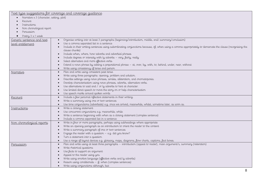Text type suggestions for coverage and coverage guidance

Narrative x 3 (character, setting, plot)

- Recount
- Instructions
- Non chronological report
- **•** Persuasion

| Poetry 3 x 1 week<br>$\bullet$ |                                                                                                                                                            |
|--------------------------------|------------------------------------------------------------------------------------------------------------------------------------------------------------|
| Generic sentence and text      | Organise writing into at least 3 paragraphs (beginning/introduction, middle, end/.summary/conclusion)<br>$\bullet$                                         |
| level entitlement              | Use a comma separated list in a sentence                                                                                                                   |
|                                | Include in their writing sentences using subordinating conjunctions because, of, when using a comma appropriately to demarcate the clause (recognising the |
|                                | clause chunks)                                                                                                                                             |
|                                | Include when, where, how adverbs and adverbial phrases                                                                                                     |
|                                | Include degrees or intensity with ly adverbs - very, fairly, really                                                                                        |
|                                | Select alternative and more effective verbs                                                                                                                |
|                                | Extend a noun phrase by adding a prepositional phrase - at, over, by, with, to, behind, under, near, without                                               |
|                                | Write using consistency of tense and person                                                                                                                |
| Narrative                      | Plan and write using consistent past tense<br>$\bullet$                                                                                                    |
|                                | Write using three paragraphs: opening, problem and solution.                                                                                               |
|                                | Describe settings using noun phrases, similes, alliteration, and onomatopoeia.                                                                             |
|                                | Develop characterisation using noun phrases, adverbs, alternative verbs.                                                                                   |
|                                | Use alternatives to said and / or ly adverbs to hint at character.                                                                                         |
|                                | Use limited direct speech to move the story on or help characterisation                                                                                    |
|                                | Use speech marks around spoken words                                                                                                                       |
| Recount                        | Include a few personal reflective statements in their writing.<br>$\bullet$                                                                                |
|                                | Write a summary using one or two sentences<br>$\bullet$                                                                                                    |
|                                | Use time conjunctions (adverbials) e.g. once we arrived, meanwhile, whilst, sometime later, as soon as.<br>$\bullet$                                       |
| Instructions                   | Write a closing statement<br>$\bullet$                                                                                                                     |
|                                | Use concurrent conjunctions e.g. meanwhile, while                                                                                                          |
|                                | Write a sentence beginning with when as a closing statement (complex sentence)                                                                             |
|                                | Include a comma separated list in a sentence                                                                                                               |
| Non chronological reports      | Write in four or more paragraphs, perhaps using subheadings where appropriate                                                                              |
|                                | Write an opening paragraph as an introduction to orient the reader to the content                                                                          |
|                                | Write a summary paragraph of one or two sentences                                                                                                          |
|                                | Engage the reader with a question $-$ e.g. did you know?                                                                                                   |
|                                | Turn a statement into a question                                                                                                                           |
|                                | Use a range of layout devices e.g. glossary, maps, diagrams, flow charts, captions, fact boxes.                                                            |
| Persuasion                     | Plan and write using at least three paragraphs - introduction (appeal to reader), main argument/s, summary (reiteration)<br>$\bullet$                      |
|                                | Write rhetorical questions                                                                                                                                 |
|                                | Use facts to support an argument                                                                                                                           |
|                                | Appeal to the reader using you                                                                                                                             |
|                                | Write using emotive language (effective verbs and ly adverbs)                                                                                              |
|                                | Reason using conditionals $-$ if, when (complex sentences)                                                                                                 |
|                                | Write using conjunctions although, but                                                                                                                     |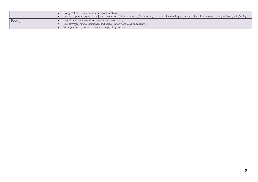|        | Exaggeration – superlatives and comparatives                                                                                                                       |
|--------|--------------------------------------------------------------------------------------------------------------------------------------------------------------------|
|        | Use appropriate conjunctions for text cohesion. Addition – also, furthermore, moreover. Reinforcing – besides, after all, anyway. Listing – first of all, finally. |
| Poetry | Invent new similes and experiment with word play.                                                                                                                  |
|        | Use powerful nouns, adjectives and verbs; experiment with alliteration.                                                                                            |
|        | Write free verse; borrow or create a repeating pattern.                                                                                                            |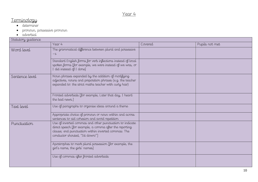# Terminology

- determiner
- pronoun, possessive pronoun
- adverbial

| Statutory guidance |                                                                                                                                                                                                               |         |                |
|--------------------|---------------------------------------------------------------------------------------------------------------------------------------------------------------------------------------------------------------|---------|----------------|
|                    | Year 4                                                                                                                                                                                                        | Covered | Pupils not met |
| Word level         | The grammatical difference between plural and possessive<br>$-S$                                                                                                                                              |         |                |
|                    | Standard English forms for verb inflections instead of local<br>spoken forms [for example, we were instead of we was, or<br>I did instead of I done]                                                          |         |                |
| Sentence level     | Noun phrases expanded by the addition of modifying<br>adjectives, nouns and preposition phrases (e.g. the teacher<br>expanded to: the strict maths teacher with curly hair)                                   |         |                |
|                    | Fronted adverbials [for example, Later that day, I heard<br>the bad news.]                                                                                                                                    |         |                |
| Text level         | Use of paragraphs to organise ideas around a theme                                                                                                                                                            |         |                |
|                    | Appropriate choice of pronoun or noun within and across<br>sentences to aid cohesion and avoid repetition                                                                                                     |         |                |
| Punctuation        | Use of inverted commas and other punctuation to indicate<br>direct speech [for example, a comma after the reporting<br>clause; end punctuation within inverted commas: The<br>conductor shouted, "Sit down!"] |         |                |
|                    | Apostrophes to mark plural possession [for example, the<br>girl's name, the girls' names]                                                                                                                     |         |                |
|                    | Use of commas after fronted adverbials                                                                                                                                                                        |         |                |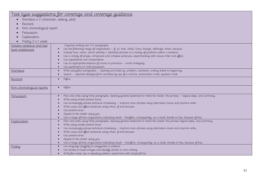|                                            | <u> Text type suggestions for coverage and coverage guidance</u>                                                                                                   |
|--------------------------------------------|--------------------------------------------------------------------------------------------------------------------------------------------------------------------|
| Narrative $x$ 3 (character, setting, plot) |                                                                                                                                                                    |
| Recount                                    |                                                                                                                                                                    |
| Non chronological report                   |                                                                                                                                                                    |
| Persuasion                                 |                                                                                                                                                                    |
| Explanation                                |                                                                                                                                                                    |
|                                            |                                                                                                                                                                    |
| Poetry 3 x 1 week                          | Organise writing into 3/4 paragraphs                                                                                                                               |
| Generic sentence and text                  | Use the following range of conjunctions $-$ if, so, that, while. Since, though, although, when, because                                                            |
| level entitlement                          | Include how, when, where adverbs / adverbial phrases in a variety of positions within a sentence.                                                                  |
|                                            | Use a variety of simple, compound and complex sentences, experimenting with clause order and effect.                                                               |
|                                            | Use superlatives and comparatives                                                                                                                                  |
|                                            | Use an appropriate balance of nouns to pronouns - avoid ambiguity                                                                                                  |
|                                            | Use apostrophe to mark possession                                                                                                                                  |
| Narrative                                  | Write using four paragraphs - opening and build up, problem, resolution, ending linked to beginning.                                                               |
|                                            | Speech - separate dialogue from narrative by use of a comma, exclamation mark, question mark.                                                                      |
| Recount                                    | Refine<br>$\bullet$                                                                                                                                                |
|                                            |                                                                                                                                                                    |
| <u>Non</u> chronological reports           | Refine<br>$\bullet$                                                                                                                                                |
|                                            |                                                                                                                                                                    |
| Persuasion                                 | Plan and write using three paragraphs: opening general statement to orient the reader, the process - logical steps, and summary.                                   |
|                                            | Write using simple present tense.                                                                                                                                  |
|                                            | Use increasingly precise technical vocabulary - improve noun phrases using alternative nouns and improve verbs.                                                    |
|                                            | Write cause and effect sentences using when, if and because.                                                                                                       |
|                                            | Use present tense                                                                                                                                                  |
|                                            | Appeal to the reader using you.                                                                                                                                    |
|                                            | Use a range of time conjunctions indicating result - therefore, consequently, as a result, thanks to this, because of this.                                        |
| Explanation                                | Plan and write using three paragraphs: opening general statement to orient the reader, the process-logical steps, and summary.<br>Write using simple present tense |
|                                            | Use increasingly precise technical vocabulary - improve noun phrases using alternative nouns and improve verbs.                                                    |
|                                            | Write cause and effect sentences using when, if and because                                                                                                        |
|                                            | Use present tense                                                                                                                                                  |
|                                            | Appeal to the reader using you                                                                                                                                     |
|                                            | Use a range of time conjunctions indicating result - therefore, consequently, as a result, thanks to this, because of this.                                        |
| Poetry                                     | Use language playfully to exaggerate or pretend.                                                                                                                   |
|                                            | Use similes to build images and identify clichés in own writing.                                                                                                   |
|                                            | Write free verse; use a repeating pattern; experiment with simple forms                                                                                            |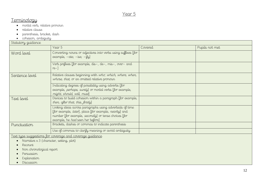# **Terminology**

- modal verb, relative pronoun
- relative clause
- parenthesis, bracket, dash
- cohesion, ambiguity

| Statutory guidance |                                                                                                                                                                                                               |         |                |
|--------------------|---------------------------------------------------------------------------------------------------------------------------------------------------------------------------------------------------------------|---------|----------------|
|                    | Year 5                                                                                                                                                                                                        | Covered | Pupils not met |
| Word level         | Converting nouns or adjectives into verbs using suffixes [for<br>$example, -ate; -ise; -i\mu].$                                                                                                               |         |                |
|                    | Verb prefixes [for example, dis-, de-, mis-, over- and<br>$re-$                                                                                                                                               |         |                |
| Sentence level     | Relative clauses beginning with who, which, where, when,<br>whose, that, or an omitted relative pronoun                                                                                                       |         |                |
|                    | Indicating degrees of possibility using adverbs [for<br>example, perhaps, surely] or modal verbs [for example,<br>might, should, will, must                                                                   |         |                |
| Text level         | Devices to build cohesion within a paragraph [for example,<br>then, after that, this, firstly                                                                                                                 |         |                |
|                    | Linking ideas across paragraphs using adverbials of time<br>[for example, later], place [for example, nearby] and<br>number [for example, secondly] or tense choices [for<br>example, he had seen her before] |         |                |
| Punctuation        | Brackets, dashes or commas to indicate parenthesis                                                                                                                                                            |         |                |
|                    | Use of commas to clarify meaning or avoid ambiguity                                                                                                                                                           |         |                |

Text type suggestions for coverage and coverage guidance

- Narrative  $x$  3 (character, setting, plot)
- Recount
- Non chronological report
- · Persuasion
- Explanation
- · Discussion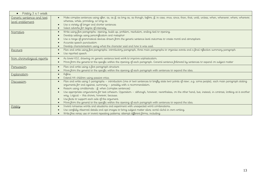| Poetry 3 x 1 week<br>$\bullet$                        |                                                                                                                                                                                                                                                                                                                                                                                                                                                                                                                                                                                                                                                                                                   |
|-------------------------------------------------------|---------------------------------------------------------------------------------------------------------------------------------------------------------------------------------------------------------------------------------------------------------------------------------------------------------------------------------------------------------------------------------------------------------------------------------------------------------------------------------------------------------------------------------------------------------------------------------------------------------------------------------------------------------------------------------------------------|
| Generic sentence and text<br><u>level entitlement</u> | Make complex sentences using after, as, as if, as long as, as though, before, if, in case, once, since, than, that, until, unless, when, whenever, where, wherever,<br>whereas, while, providing, so long as<br>Use a variety of longer and shorter sentences<br>Select adverbs for degree of intensity                                                                                                                                                                                                                                                                                                                                                                                           |
| Narrative                                             | Write using live paragraphs: opening, build up, problem, resolution, ending tied to opening.<br>$\bullet$<br>Develop settings using personification and metaphor<br>Use a range of grammatical devices drawn from the generic sentence level outcomes to create mood and atmosphere<br>Accurate speech punctuation<br>Develop characterisation using what the character said and how it was said.                                                                                                                                                                                                                                                                                                 |
| Recount                                               | Plan and write using five paragraphs: introductory paragraph, three main paragraphs to organise events and a final reflective summary paragraph<br>$\bullet$<br>Use reported speech<br>$\bullet$                                                                                                                                                                                                                                                                                                                                                                                                                                                                                                  |
| Non chronological reports                             | As lower KS2, drawing on generic sentence level work to improve sophistication.<br>Move from the general to the specific within the opening of each paragraph. General sentence followed by sentences to expand on subject matter                                                                                                                                                                                                                                                                                                                                                                                                                                                                 |
| Persuasion                                            | Plan and write using a five paragraph structure<br>Move from the general to the specific within the opening of each paragraph with sentences to expand the idea.                                                                                                                                                                                                                                                                                                                                                                                                                                                                                                                                  |
| Explanation                                           | Refine.<br>$\bullet$<br>Extend HA children using passive voice.                                                                                                                                                                                                                                                                                                                                                                                                                                                                                                                                                                                                                                   |
| <u>Discussion</u>                                     | Plan and write using 5 paragraphs - introduction (one or two sentences to briefly state two points of viewe.g. some people), each main paragraph stating<br>$\bullet$<br>arguments for and against, summary - possibly with a recommendation.<br>Reason using conditionals: if, when (complex sentences)<br>Use appropriate conjunctions for text cohesion. Opposition - although, however, nevertheless, on the other hand, but, instead, in contrast, looking at it another<br>way. Logical - this shows, however, because.<br>Use facts to support each side of the argument.<br>Move from the general to the specific within the opening of each paragraph with sentences to expand the idea. |
| Poetry                                                | Invent nonsense words and situations and experiment with unexpected word combinations.<br>$\bullet$<br>Use carefully observed details and apt images to bring subject matter alive; avoid cliché in own writing.<br>Write free verse; use or invent repeating patterns; attempt different forms, including.                                                                                                                                                                                                                                                                                                                                                                                       |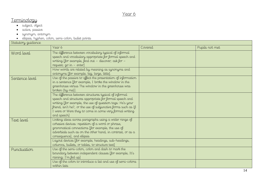# Terminology

- subject, object
- active, passive
- synonym, antonym
- $\bullet$   $\quad$  ellipsis, hyphen, colon, semi-colon, bullet points

| Statutory guidance |                                                                                                                                                                                                                                                                                                                           |         |                |  |
|--------------------|---------------------------------------------------------------------------------------------------------------------------------------------------------------------------------------------------------------------------------------------------------------------------------------------------------------------------|---------|----------------|--|
|                    | Year 6                                                                                                                                                                                                                                                                                                                    | Covered | Pupils not met |  |
| Word level         | The difference between vocabulary typical of informal<br>speech and vocabulary appropriate for formal speech and<br>writing [for example, find out - discover; ask for -<br>request; go in - enter]<br>How words are related by meaning as synonyms and                                                                   |         |                |  |
| Sentence level     | antonyms [for example, big, large, little]<br>Use of the passive to affect the presentation of information<br>in a sentence [for example, I broke the window in the<br>greenhouse versus The window in the greenhouse was<br>broken (by me)].                                                                             |         |                |  |
|                    | The difference between structures typical of informal<br>speech and structures appropriate for formal speech and<br>writing [for example, the use of question tags: He's your<br>friend, isn't he?, or the use of subjunctive forms such as If<br>I were or Were they to come in some very formal writing.<br>and speech] |         |                |  |
| Text level         | Linking ideas across paragraphs using a wider range of<br>cohesive devices: repetition of a word or phrase,<br>grammatical connections [for example, the use of<br>adverbials such as on the other hand, in contrast, or as a<br>consequence], and ellipsis<br>Layout devices [for example, headings, sub-headings,       |         |                |  |
|                    | columns, bullets, or tables, to structure text]                                                                                                                                                                                                                                                                           |         |                |  |
| Punctuation        | Use of the semi-colon, colon and dash to mark the<br>boundary between independent clauses [for example, It's<br>raining; I'm fed up]                                                                                                                                                                                      |         |                |  |
|                    | Use of the colon to introduce a list and use of semi-colons<br>within lists                                                                                                                                                                                                                                               |         |                |  |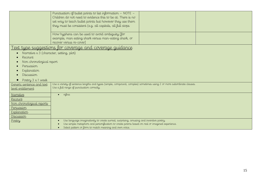|                                                                                                                                                    | Punctuation of bullet points to list information - NOTE -<br>Children do not need to evidence this to be at. There is no<br>set way to teach bullet points but however they use them<br>they must be consistent (e.g. all capitals, all full stops               |  |  |  |
|----------------------------------------------------------------------------------------------------------------------------------------------------|------------------------------------------------------------------------------------------------------------------------------------------------------------------------------------------------------------------------------------------------------------------|--|--|--|
|                                                                                                                                                    | How hyphens can be used to avoid ambiguity [for<br>example, man eating shark versus man-eating shark, or<br>recover versus re-cover]                                                                                                                             |  |  |  |
| <u>Text type suggestions for coverage and coverage guidance</u><br>Narrative x 3 (character, setting, plot)<br>Recount<br>Non chronological report |                                                                                                                                                                                                                                                                  |  |  |  |
| Persuasion<br>Explanation<br>Discussion<br>Poetry 3 x 1 week                                                                                       |                                                                                                                                                                                                                                                                  |  |  |  |
| Generic sentence and text<br>level entitlement                                                                                                     | Use a variety of sentence lengths and types (simple, compound, complex) sometimes using 2 or more subordinate clauses.<br>Use a full range of punctuation correctly.                                                                                             |  |  |  |
| Narrative<br>Recount<br>Non chronological reports<br>Persuasion<br>Explanation<br><u>Discussion</u>                                                | refine<br>$\bullet$                                                                                                                                                                                                                                              |  |  |  |
| Poetry                                                                                                                                             | Use language imaginatively to create surreal, surprising, amusing and inventive poetry.<br>$\bullet$<br>Use simple metaphors and personification to create poems based on real or imagined experience.<br>Select pattern or form to match meaning and own voice. |  |  |  |